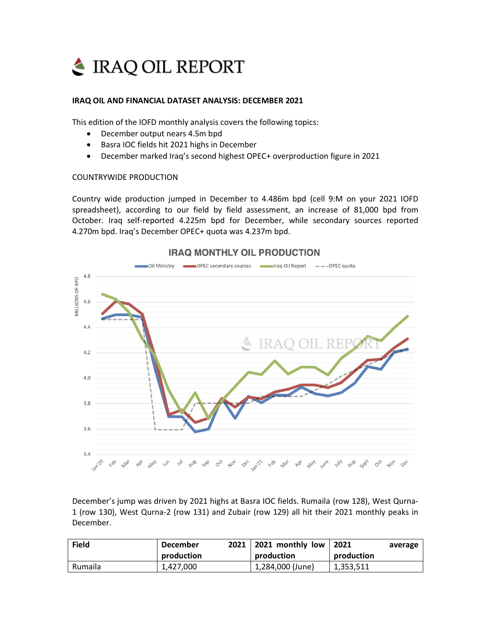

## **IRAQ OIL AND FINANCIAL DATASET ANALYSIS: DECEMBER 2021**

This edition of the IOFD monthly analysis covers the following topics:

- December output nears 4.5m bpd
- Basra IOC fields hit 2021 highs in December
- December marked Iraq's second highest OPEC+ overproduction figure in 2021

## COUNTRYWIDE PRODUCTION

Country wide production jumped in December to 4.486m bpd (cell 9:M on your 2021 IOFD spreadsheet), according to our field by field assessment, an increase of 81,000 bpd from October. Iraq self-reported 4.225m bpd for December, while secondary sources reported 4.270m bpd. Iraq's December OPEC+ quota was 4.237m bpd.



## **IRAQ MONTHLY OIL PRODUCTION**

December's jump was driven by 2021 highs at Basra IOC fields. Rumaila (row 128), West Qurna-1 (row 130), West Qurna-2 (row 131) and Zubair (row 129) all hit their 2021 monthly peaks in December.

| <b>Field</b>   | <b>December</b><br>production | 2021 | 2021 monthly low<br>production | 2021<br>production | average |
|----------------|-------------------------------|------|--------------------------------|--------------------|---------|
| <b>Rumaila</b> | 1,427,000                     |      | 1,284,000 (June)               | 1,353,511          |         |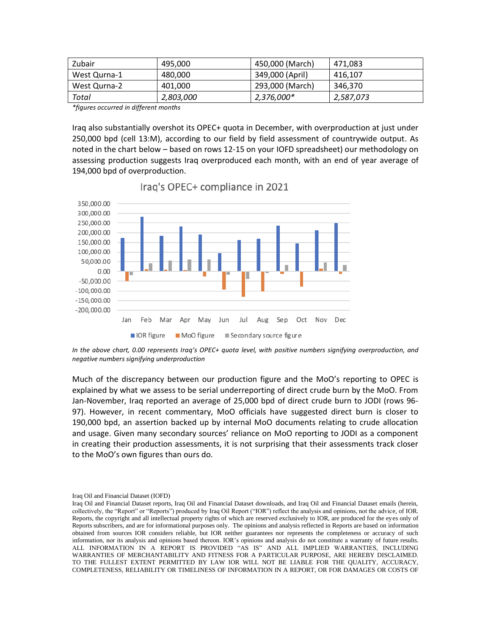| Zubair       | 495.000   | 450,000 (March) | 471.083   |
|--------------|-----------|-----------------|-----------|
| West Qurna-1 | 480,000   | 349,000 (April) | 416,107   |
| West Qurna-2 | 401,000   | 293,000 (March) | 346,370   |
| Total        | 2,803,000 | 2,376,000*      | 2,587,073 |

*\*figures occurred in different months*

Iraq also substantially overshot its OPEC+ quota in December, with overproduction at just under 250,000 bpd (cell 13:M), according to our field by field assessment of countrywide output. As noted in the chart below – based on rows 12-15 on your IOFD spreadsheet) our methodology on assessing production suggests Iraq overproduced each month, with an end of year average of 194,000 bpd of overproduction.



Iraq's OPEC+ compliance in 2021

In the above chart, 0.00 represents Iraq's OPEC+ quota level, with positive numbers signifying overproduction, and *negative numbers signifying underproduction*

Much of the discrepancy between our production figure and the MoO's reporting to OPEC is explained by what we assess to be serial underreporting of direct crude burn by the MoO. From Jan-November, Iraq reported an average of 25,000 bpd of direct crude burn to JODI (rows 96- 97). However, in recent commentary, MoO officials have suggested direct burn is closer to 190,000 bpd, an assertion backed up by internal MoO documents relating to crude allocation and usage. Given many secondary sources' reliance on MoO reporting to JODI as a component in creating their production assessments, it is not surprising that their assessments track closer to the MoO's own figures than ours do.

Iraq Oil and Financial Dataset (IOFD)

Iraq Oil and Financial Dataset reports, Iraq Oil and Financial Dataset downloads, and Iraq Oil and Financial Dataset emails (herein, collectively, the "Report" or "Reports") produced by Iraq Oil Report ("IOR") reflect the analysis and opinions, not the advice, of IOR. Reports, the copyright and all intellectual property rights of which are reserved exclusively to IOR, are produced for the eyes only of Reports subscribers, and are for informational purposes only. The opinions and analysis reflected in Reports are based on information obtained from sources IOR considers reliable, but IOR neither guarantees nor represents the completeness or accuracy of such information, nor its analysis and opinions based thereon. IOR's opinions and analysis do not constitute a warranty of future results. ALL INFORMATION IN A REPORT IS PROVIDED "AS IS" AND ALL IMPLIED WARRANTIES, INCLUDING WARRANTIES OF MERCHANTABILITY AND FITNESS FOR A PARTICULAR PURPOSE, ARE HEREBY DISCLAIMED. TO THE FULLEST EXTENT PERMITTED BY LAW IOR WILL NOT BE LIABLE FOR THE QUALITY, ACCURACY, COMPLETENESS, RELIABILITY OR TIMELINESS OF INFORMATION IN A REPORT, OR FOR DAMAGES OR COSTS OF